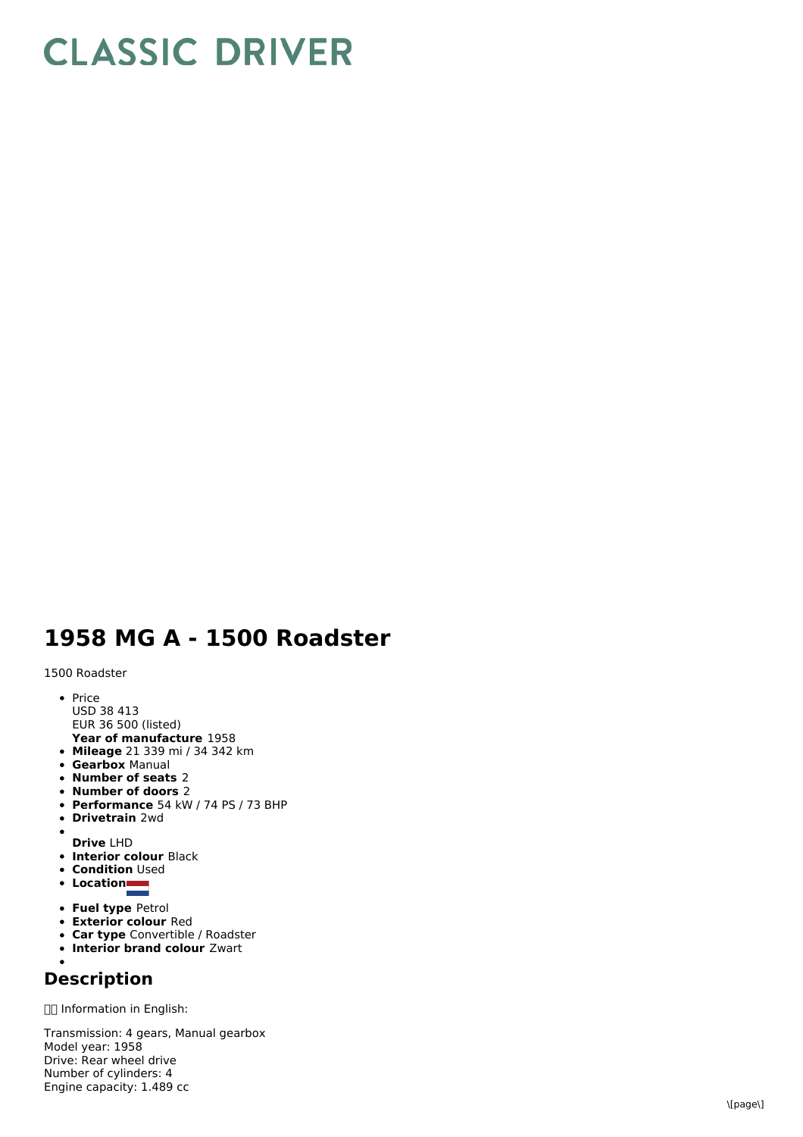## **CLASSIC DRIVER**

## **1958 MG A - 1500 Roadster**

1500 Roadster

- P ric e
- U S D 3 8 4 1 3
- EUR 36 500 (listed)
- **Y e a r o f m a n u f a c t u r e** 1 9 5 8 **Mileage** 21 339 mi / 34 342 km
- **Gearbox** Manual
- **Number of seat s** 2
- **Number of doors** 2
- **Performance** 54 kW / 74 PS / 73 BHP
- **D riv e t r ain** 2 w d
- $\bullet$ **D riv e** L H D
- **Interior colour Black**
- **Condition** Used
- **L o c a tio n**
- **Fuel type Petrol**
- **Exterior colour Red**
- **Car type** Convertible / Roadster
- **Interior brand colour** Zwart

## **D e s c rip tio n**

□□ Information in English:

Transmission: 4 gears, Manual gearbox M o d el y e a r: 1 9 5 8 Drive: Rear wheel drive N u m b e r o fc ylin d e r s: 4 Engine capacity: 1.489 cc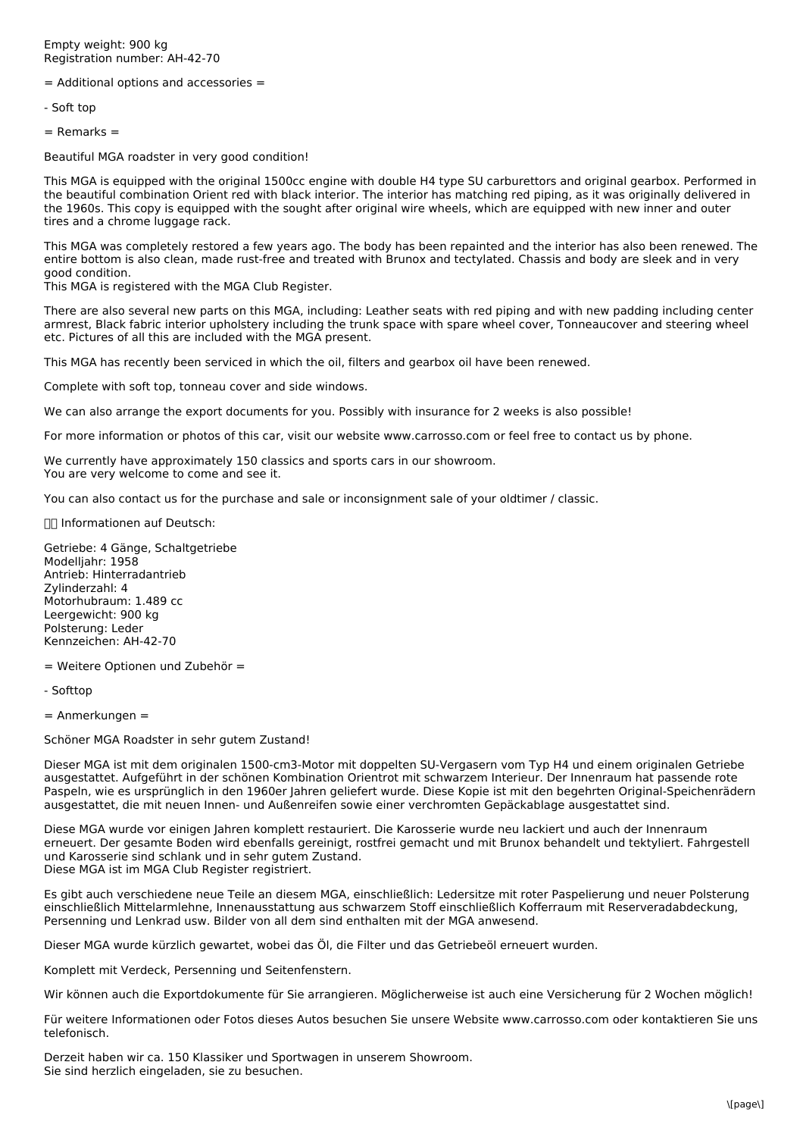Empty weight: 900 kg Registration number: AH-42-70

= Additional options and accessories =

- Soft top

= Remarks =

Beautiful MGA roadster in very good condition!

This MGA is equipped with the original 1500cc engine with double H4 type SU carburettors and original gearbox. Performed in the beautiful combination Orient red with black interior. The interior has matching red piping, as it was originally delivered in the 1960s. This copy is equipped with the sought after original wire wheels, which are equipped with new inner and outer tires and a chrome luggage rack.

This MGA was completely restored a few years ago. The body has been repainted and the interior has also been renewed. The entire bottom is also clean, made rust-free and treated with Brunox and tectylated. Chassis and body are sleek and in very good condition.

This MGA is registered with the MGA Club Register.

There are also several new parts on this MGA, including: Leather seats with red piping and with new padding including center armrest, Black fabric interior upholstery including the trunk space with spare wheel cover, Tonneaucover and steering wheel etc. Pictures of all this are included with the MGA present.

This MGA has recently been serviced in which the oil, filters and gearbox oil have been renewed.

Complete with soft top, tonneau cover and side windows.

We can also arrange the export documents for you. Possibly with insurance for 2 weeks is also possible!

For more information or photos of this car, visit our website www.carrosso.com or feel free to contact us by phone.

We currently have approximately 150 classics and sports cars in our showroom. You are very welcome to come and see it.

You can also contact us for the purchase and sale or inconsignment sale of your oldtimer / classic.

Informationen auf Deutsch:

Getriebe: 4 Gänge, Schaltgetriebe Modelljahr: 1958 Antrieb: Hinterradantrieb Zylinderzahl: 4 Motorhubraum: 1.489 cc Leergewicht: 900 kg Polsterung: Leder Kennzeichen: AH-42-70

= Weitere Optionen und Zubehör =

- Softtop

= Anmerkungen =

Schöner MGA Roadster in sehr gutem Zustand!

Dieser MGA ist mit dem originalen 1500-cm3-Motor mit doppelten SU-Vergasern vom Typ H4 und einem originalen Getriebe ausgestattet. Aufgeführt in der schönen Kombination Orientrot mit schwarzem Interieur. Der Innenraum hat passende rote Paspeln, wie es ursprünglich in den 1960er Jahren geliefert wurde. Diese Kopie ist mit den begehrten Original-Speichenrädern ausgestattet, die mit neuen Innen- und Außenreifen sowie einer verchromten Gepäckablage ausgestattet sind.

Diese MGA wurde vor einigen Jahren komplett restauriert. Die Karosserie wurde neu lackiert und auch der Innenraum erneuert. Der gesamte Boden wird ebenfalls gereinigt, rostfrei gemacht und mit Brunox behandelt und tektyliert. Fahrgestell und Karosserie sind schlank und in sehr gutem Zustand. Diese MGA ist im MGA Club Register registriert.

Es gibt auch verschiedene neue Teile an diesem MGA, einschließlich: Ledersitze mit roter Paspelierung und neuer Polsterung einschließlich Mittelarmlehne, Innenausstattung aus schwarzem Stoff einschließlich Kofferraum mit Reserveradabdeckung, Persenning und Lenkrad usw. Bilder von all dem sind enthalten mit der MGA anwesend.

Dieser MGA wurde kürzlich gewartet, wobei das Öl, die Filter und das Getriebeöl erneuert wurden.

Komplett mit Verdeck, Persenning und Seitenfenstern.

Wir können auch die Exportdokumente für Sie arrangieren. Möglicherweise ist auch eine Versicherung für 2 Wochen möglich!

Für weitere Informationen oder Fotos dieses Autos besuchen Sie unsere Website www.carrosso.com oder kontaktieren Sie uns telefonisch.

Derzeit haben wir ca. 150 Klassiker und Sportwagen in unserem Showroom. Sie sind herzlich eingeladen, sie zu besuchen.